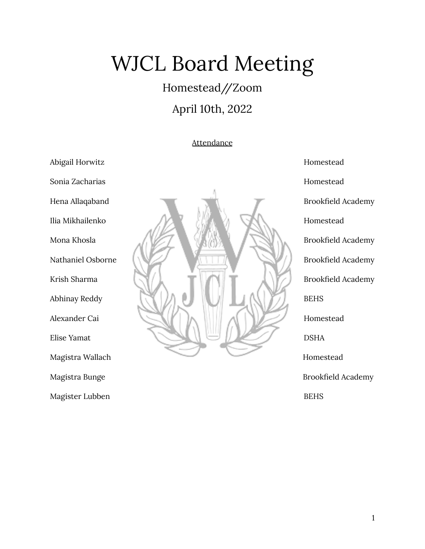# WJCL Board Meeting

## Homestead//Zoom

### April 10th, 2022

#### **Attendance**

Abigail Horwitz **Homestead** Magister Lubben BEHS



Magistra Bunge **Brookfield Academy**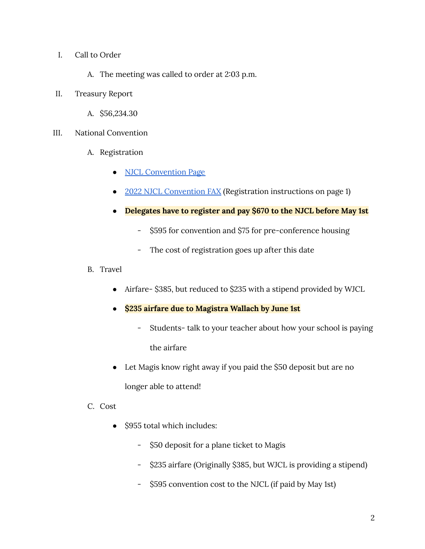- I. Call to Order
	- A. The meeting was called to order at 2:03 p.m.
- II. Treasury Report
	- A. \$56,234.30
- III. National Convention
	- A. Registration
		- NJCL [Convention](https://www.njcl.org/NJCL-Convention/2022-NJCL-Convention) Page
		- 2022 NJCL [Convention](https://docs.google.com/document/d/1RJGHCdsm9hVcqrs4t9K_7s5TiT7TV1NJvgl9af2k2WI/edit) FAX (Registration instructions on page 1)
		- **● Delegates have to register and pay \$670 to the NJCL before May 1st**
			- \$595 for convention and \$75 for pre-conference housing
			- The cost of registration goes up after this date
	- B. Travel
		- Airfare- \$385, but reduced to \$235 with a stipend provided by WJCL
		- **● \$235 airfare due to Magistra Wallach by June 1st**
			- Students- talk to your teacher about how your school is paying the airfare
		- Let Magis know right away if you paid the \$50 deposit but are no longer able to attend!
	- C. Cost
		- \$955 total which includes:
			- \$50 deposit for a plane ticket to Magis
			- \$235 airfare (Originally \$385, but WJCL is providing a stipend)
			- \$595 convention cost to the NJCL (if paid by May 1st)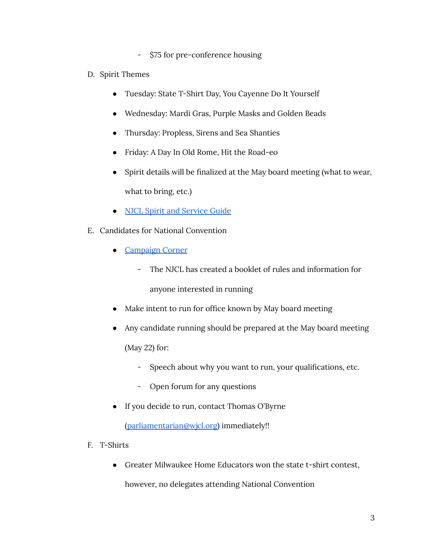- \$75 for pre-conference housing
- D. Spirit Themes
	- Tuesday: State T-Shirt Day, You Cayenne Do It Yourself
	- Wednesday: Mardi Gras, Purple Masks and Golden Beads
	- Thursday: Propless, Sirens and Sea Shanties
	- Friday: A Day In Old Rome, Hit the Road-eo
	- Spirit details will be finalized at the May board meeting (what to wear, what to bring, etc.)
	- NJCL Spirit and [Service](https://viewer.joomag.com/2022-njcl-spirit-and-service-guide/0228316001649633719?short&) Guide
- E. Candidates for National Convention
	- [Campaign](https://viewer.joomag.com/campaign-corner-2022/0359451001641665011) Corner
		- The NJCL has created a booklet of rules and information for anyone interested in running
	- Make intent to run for office known by May board meeting
	- Any candidate running should be prepared at the May board meeting (May 22) for:
		- Speech about why you want to run, your qualifications, etc.
		- Open forum for any questions
	- If you decide to run, contact Thomas O'Byrne

[\(parliamentarian@wjcl.org](mailto:parliamentarian@wjcl.org)) immediately!!

- F. T-Shirts
	- Greater Milwaukee Home Educators won the state t-shirt contest,

however, no delegates attending National Convention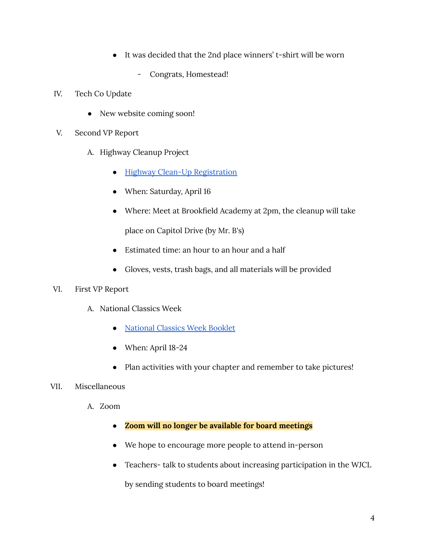- It was decided that the 2nd place winners' t-shirt will be worn
	- Congrats, Homestead!
- IV. Tech Co Update
	- New website coming soon!
- V. Second VP Report
	- A. Highway Cleanup Project
		- Highway Clean-Up [Registration](https://docs.google.com/forms/d/1gnHV5bkVWuF05MDW2xzGrWg5iuTrQybHa0fUDCJTLII/viewform?edit_requested=true)
		- When: Saturday, April 16
		- Where: Meet at Brookfield Academy at 2pm, the cleanup will take

place on Capitol Drive (by Mr. B's)

- Estimated time: an hour to an hour and a half
- Gloves, vests, trash bags, and all materials will be provided

#### VI. First VP Report

- A. National Classics Week
	- [National](https://viewer.joomag.com/national-classics-week-2022-2022/0324238001642723275?short&) Classics Week Booklet
	- When: April 18-24
	- Plan activities with your chapter and remember to take pictures!

#### VII. Miscellaneous

- A. Zoom
	- **● Zoom will no longer be available for board meetings**
	- We hope to encourage more people to attend in-person
	- Teachers- talk to students about increasing participation in the WJCL

by sending students to board meetings!